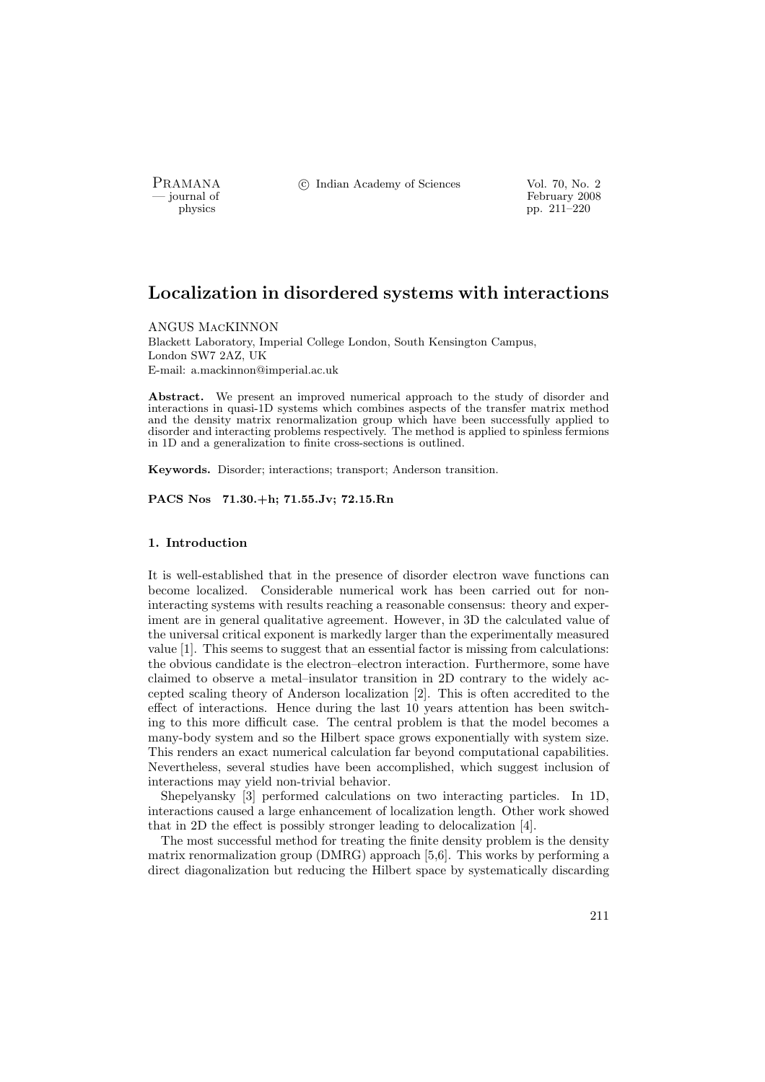PRAMANA °c Indian Academy of Sciences Vol. 70, No. 2

physics<br>
and the settlement of February 2008<br>
pp. 211–220 pp. 211–220

# Localization in disordered systems with interactions

ANGUS MacKINNON

Blackett Laboratory, Imperial College London, South Kensington Campus, London SW7 2AZ, UK E-mail: a.mackinnon@imperial.ac.uk

Abstract. We present an improved numerical approach to the study of disorder and interactions in quasi-1D systems which combines aspects of the transfer matrix method and the density matrix renormalization group which have been successfully applied to disorder and interacting problems respectively. The method is applied to spinless fermions in 1D and a generalization to finite cross-sections is outlined.

Keywords. Disorder; interactions; transport; Anderson transition.

PACS Nos 71.30.+h; 71.55.Jv; 72.15.Rn

# 1. Introduction

It is well-established that in the presence of disorder electron wave functions can become localized. Considerable numerical work has been carried out for noninteracting systems with results reaching a reasonable consensus: theory and experiment are in general qualitative agreement. However, in 3D the calculated value of the universal critical exponent is markedly larger than the experimentally measured value [1]. This seems to suggest that an essential factor is missing from calculations: the obvious candidate is the electron–electron interaction. Furthermore, some have claimed to observe a metal–insulator transition in 2D contrary to the widely accepted scaling theory of Anderson localization [2]. This is often accredited to the effect of interactions. Hence during the last 10 years attention has been switching to this more difficult case. The central problem is that the model becomes a many-body system and so the Hilbert space grows exponentially with system size. This renders an exact numerical calculation far beyond computational capabilities. Nevertheless, several studies have been accomplished, which suggest inclusion of interactions may yield non-trivial behavior.

Shepelyansky [3] performed calculations on two interacting particles. In 1D, interactions caused a large enhancement of localization length. Other work showed that in 2D the effect is possibly stronger leading to delocalization [4].

The most successful method for treating the finite density problem is the density matrix renormalization group (DMRG) approach [5,6]. This works by performing a direct diagonalization but reducing the Hilbert space by systematically discarding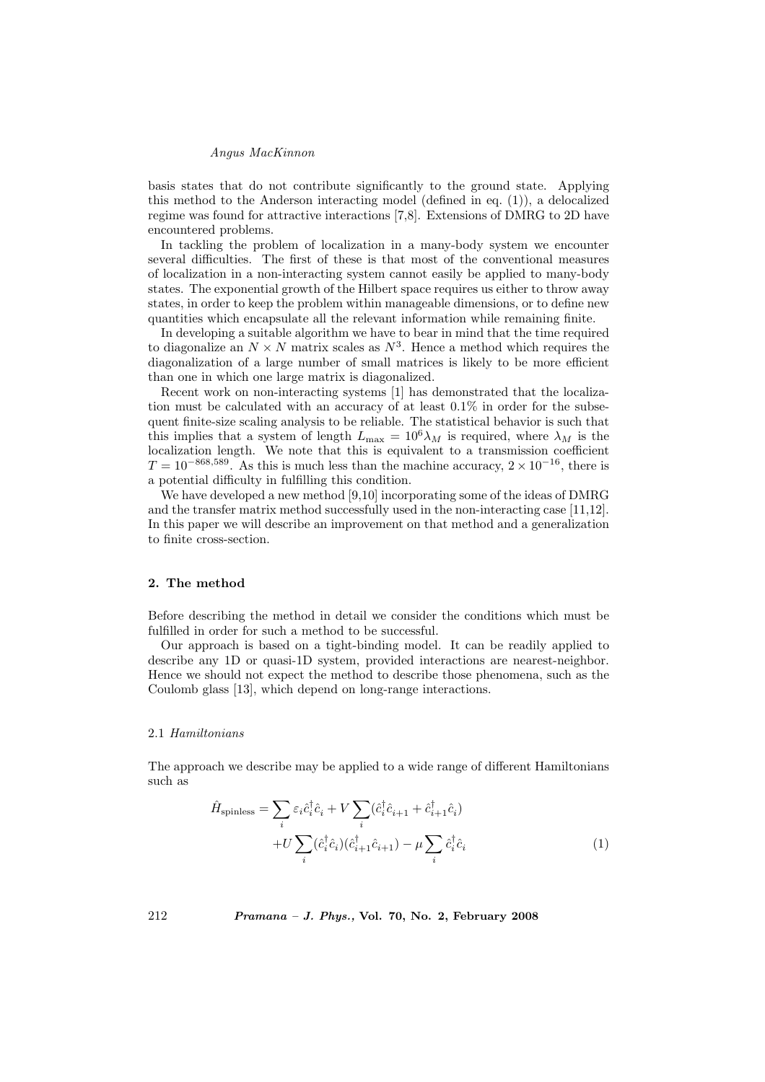# Angus MacKinnon

basis states that do not contribute significantly to the ground state. Applying this method to the Anderson interacting model (defined in eq.  $(1)$ ), a delocalized regime was found for attractive interactions [7,8]. Extensions of DMRG to 2D have encountered problems.

In tackling the problem of localization in a many-body system we encounter several difficulties. The first of these is that most of the conventional measures of localization in a non-interacting system cannot easily be applied to many-body states. The exponential growth of the Hilbert space requires us either to throw away states, in order to keep the problem within manageable dimensions, or to define new quantities which encapsulate all the relevant information while remaining finite.

In developing a suitable algorithm we have to bear in mind that the time required to diagonalize an  $N \times N$  matrix scales as  $N^3$ . Hence a method which requires the diagonalization of a large number of small matrices is likely to be more efficient than one in which one large matrix is diagonalized.

Recent work on non-interacting systems [1] has demonstrated that the localization must be calculated with an accuracy of at least 0.1% in order for the subsequent finite-size scaling analysis to be reliable. The statistical behavior is such that this implies that a system of length  $L_{\text{max}} = 10^6 \lambda_M$  is required, where  $\lambda_M$  is the localization length. We note that this is equivalent to a transmission coefficient  $T = 10^{-868,589}$ . As this is much less than the machine accuracy,  $2 \times 10^{-16}$ , there is a potential difficulty in fulfilling this condition.

We have developed a new method [9,10] incorporating some of the ideas of DMRG and the transfer matrix method successfully used in the non-interacting case [11,12]. In this paper we will describe an improvement on that method and a generalization to finite cross-section.

## 2. The method

Before describing the method in detail we consider the conditions which must be fulfilled in order for such a method to be successful.

Our approach is based on a tight-binding model. It can be readily applied to describe any 1D or quasi-1D system, provided interactions are nearest-neighbor. Hence we should not expect the method to describe those phenomena, such as the Coulomb glass [13], which depend on long-range interactions.

# 2.1 Hamiltonians

The approach we describe may be applied to a wide range of different Hamiltonians such as

$$
\hat{H}_{\text{spinless}} = \sum_{i} \varepsilon_{i} \hat{c}_{i}^{\dagger} \hat{c}_{i} + V \sum_{i} (\hat{c}_{i}^{\dagger} \hat{c}_{i+1} + \hat{c}_{i+1}^{\dagger} \hat{c}_{i}) + U \sum_{i} (\hat{c}_{i}^{\dagger} \hat{c}_{i}) (\hat{c}_{i+1}^{\dagger} \hat{c}_{i+1}) - \mu \sum_{i} \hat{c}_{i}^{\dagger} \hat{c}_{i}
$$
\n(1)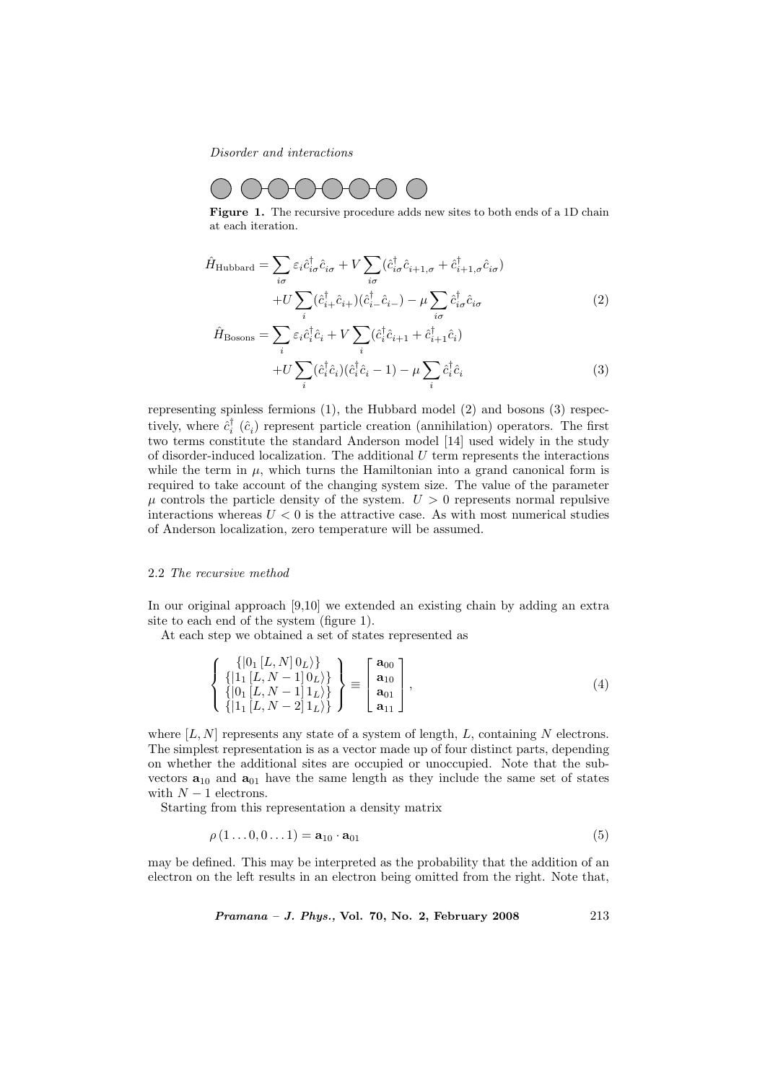Disorder and interactions



Figure 1. The recursive procedure adds new sites to both ends of a 1D chain at each iteration.

$$
\hat{H}_{\text{Hubbard}} = \sum_{i\sigma} \varepsilon_i \hat{c}_{i\sigma}^\dagger \hat{c}_{i\sigma} + V \sum_{i\sigma} (\hat{c}_{i\sigma}^\dagger \hat{c}_{i+1,\sigma} + \hat{c}_{i+1,\sigma}^\dagger \hat{c}_{i\sigma}) + U \sum_i (\hat{c}_{i+1}^\dagger \hat{c}_{i+1}) (\hat{c}_{i-1}^\dagger \hat{c}_{i-1}) - \mu \sum_{i\sigma} \hat{c}_{i\sigma}^\dagger \hat{c}_{i\sigma}
$$
\n(2)

$$
\hat{H}_{\text{Bosons}} = \sum_{i} \hat{\varepsilon}_{i} \hat{c}_{i}^{\dagger} \hat{c}_{i} + V \sum_{i} (\hat{c}_{i}^{\dagger} \hat{c}_{i+1} + \hat{c}_{i+1}^{\dagger} \hat{c}_{i}) + U \sum_{i} (\hat{c}_{i}^{\dagger} \hat{c}_{i}) (\hat{c}_{i}^{\dagger} \hat{c}_{i} - 1) - \mu \sum_{i} \hat{c}_{i}^{\dagger} \hat{c}_{i}
$$
\n(3)

representing spinless fermions (1), the Hubbard model (2) and bosons (3) respectively, where  $\hat{c}_i^{\dagger}$  ( $\hat{c}_i$ ) represent particle creation (annihilation) operators. The first two terms constitute the standard Anderson model [14] used widely in the study of disorder-induced localization. The additional  $U$  term represents the interactions while the term in  $\mu$ , which turns the Hamiltonian into a grand canonical form is required to take account of the changing system size. The value of the parameter  $\mu$  controls the particle density of the system.  $U > 0$  represents normal repulsive interactions whereas  $U < 0$  is the attractive case. As with most numerical studies of Anderson localization, zero temperature will be assumed.

## 2.2 The recursive method

In our original approach [9,10] we extended an existing chain by adding an extra site to each end of the system (figure 1).

At each step we obtained a set of states represented as

$$
\left\{\begin{array}{c} \{|0_{1}[L,N]\,0_{L}\rangle\} \\ \{|1_{1}[L,N-1]\,0_{L}\rangle\} \\ \{|0_{1}[L,N-1]\,1_{L}\rangle\} \\ \{|1_{1}[L,N-2]\,1_{L}\rangle\} \end{array}\right\} \equiv \left[\begin{array}{c} \mathbf{a}_{00} \\ \mathbf{a}_{10} \\ \mathbf{a}_{01} \\ \mathbf{a}_{11} \end{array}\right],\tag{4}
$$

where  $[L, N]$  represents any state of a system of length, L, containing N electrons. The simplest representation is as a vector made up of four distinct parts, depending on whether the additional sites are occupied or unoccupied. Note that the subvectors  $\mathbf{a}_{10}$  and  $\mathbf{a}_{01}$  have the same length as they include the same set of states with  $N-1$  electrons.

Starting from this representation a density matrix

$$
\rho(1\ldots 0, 0\ldots 1) = \mathbf{a}_{10} \cdot \mathbf{a}_{01} \tag{5}
$$

may be defined. This may be interpreted as the probability that the addition of an electron on the left results in an electron being omitted from the right. Note that,

$$
Pramana - J. Phys., Vol. 70, No. 2, February 2008 \t\t 213
$$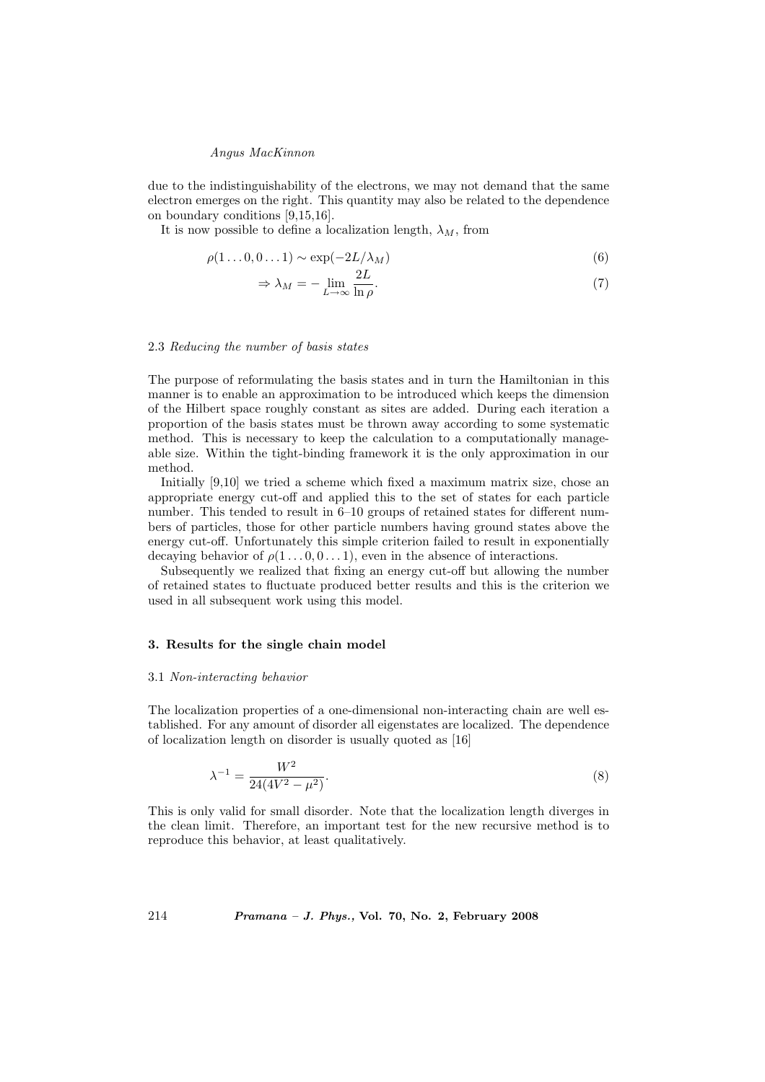## Angus MacKinnon

due to the indistinguishability of the electrons, we may not demand that the same electron emerges on the right. This quantity may also be related to the dependence on boundary conditions [9,15,16].

It is now possible to define a localization length,  $\lambda_M$ , from

$$
\rho(1\ldots 0, 0\ldots 1) \sim \exp(-2L/\lambda_M) \tag{6}
$$

$$
\Rightarrow \lambda_M = -\lim_{L \to \infty} \frac{2L}{\ln \rho}.\tag{7}
$$

## 2.3 Reducing the number of basis states

The purpose of reformulating the basis states and in turn the Hamiltonian in this manner is to enable an approximation to be introduced which keeps the dimension of the Hilbert space roughly constant as sites are added. During each iteration a proportion of the basis states must be thrown away according to some systematic method. This is necessary to keep the calculation to a computationally manageable size. Within the tight-binding framework it is the only approximation in our method.

Initially [9,10] we tried a scheme which fixed a maximum matrix size, chose an appropriate energy cut-off and applied this to the set of states for each particle number. This tended to result in 6–10 groups of retained states for different numbers of particles, those for other particle numbers having ground states above the energy cut-off. Unfortunately this simple criterion failed to result in exponentially decaying behavior of  $\rho(1 \ldots 0, 0 \ldots 1)$ , even in the absence of interactions.

Subsequently we realized that fixing an energy cut-off but allowing the number of retained states to fluctuate produced better results and this is the criterion we used in all subsequent work using this model.

#### 3. Results for the single chain model

#### 3.1 Non-interacting behavior

The localization properties of a one-dimensional non-interacting chain are well established. For any amount of disorder all eigenstates are localized. The dependence of localization length on disorder is usually quoted as [16]

$$
\lambda^{-1} = \frac{W^2}{24(4V^2 - \mu^2)}.\tag{8}
$$

This is only valid for small disorder. Note that the localization length diverges in the clean limit. Therefore, an important test for the new recursive method is to reproduce this behavior, at least qualitatively.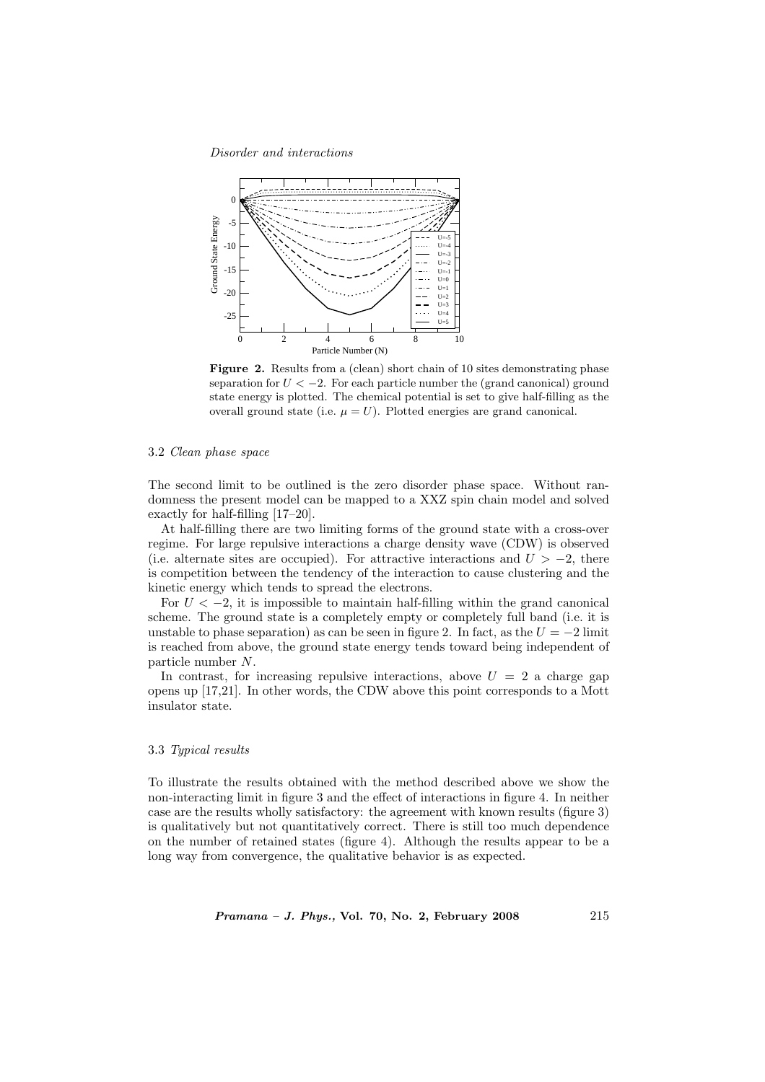Disorder and interactions



Figure 2. Results from a (clean) short chain of 10 sites demonstrating phase separation for  $U < -2$ . For each particle number the (grand canonical) ground state energy is plotted. The chemical potential is set to give half-filling as the overall ground state (i.e.  $\mu = U$ ). Plotted energies are grand canonical.

# 3.2 Clean phase space

The second limit to be outlined is the zero disorder phase space. Without randomness the present model can be mapped to a XXZ spin chain model and solved exactly for half-filling [17–20].

At half-filling there are two limiting forms of the ground state with a cross-over regime. For large repulsive interactions a charge density wave (CDW) is observed (i.e. alternate sites are occupied). For attractive interactions and  $U > -2$ , there is competition between the tendency of the interaction to cause clustering and the kinetic energy which tends to spread the electrons.

For  $U < -2$ , it is impossible to maintain half-filling within the grand canonical scheme. The ground state is a completely empty or completely full band (i.e. it is unstable to phase separation) as can be seen in figure 2. In fact, as the  $U = -2$  limit is reached from above, the ground state energy tends toward being independent of particle number N.

In contrast, for increasing repulsive interactions, above  $U = 2$  a charge gap opens up [17,21]. In other words, the CDW above this point corresponds to a Mott insulator state.

# 3.3 Typical results

To illustrate the results obtained with the method described above we show the non-interacting limit in figure 3 and the effect of interactions in figure 4. In neither case are the results wholly satisfactory: the agreement with known results (figure 3) is qualitatively but not quantitatively correct. There is still too much dependence on the number of retained states (figure 4). Although the results appear to be a long way from convergence, the qualitative behavior is as expected.

 $Pramana - J. Phys., Vol. 70, No. 2, February 2008  $215$$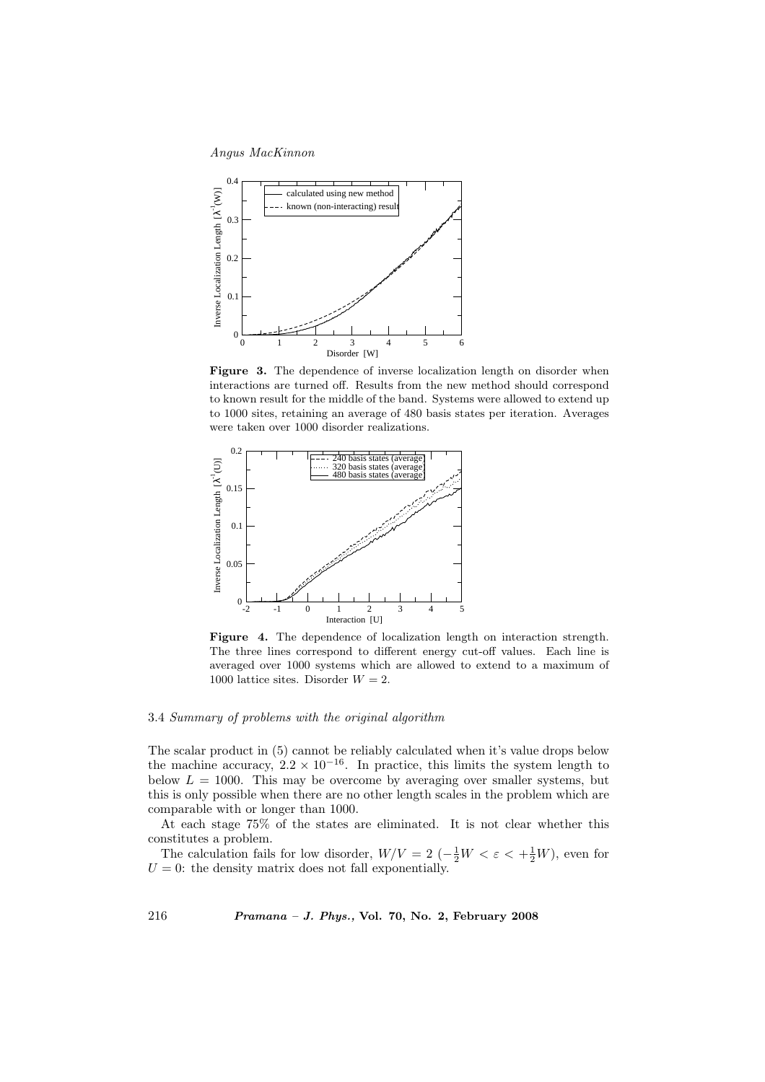Angus MacKinnon



Figure 3. The dependence of inverse localization length on disorder when interactions are turned off. Results from the new method should correspond to known result for the middle of the band. Systems were allowed to extend up to 1000 sites, retaining an average of 480 basis states per iteration. Averages were taken over 1000 disorder realizations.



Figure 4. The dependence of localization length on interaction strength. The three lines correspond to different energy cut-off values. Each line is averaged over 1000 systems which are allowed to extend to a maximum of 1000 lattice sites. Disorder  $W = 2$ .

#### 3.4 Summary of problems with the original algorithm

The scalar product in (5) cannot be reliably calculated when it's value drops below the machine accuracy,  $2.2 \times 10^{-16}$ . In practice, this limits the system length to below  $L = 1000$ . This may be overcome by averaging over smaller systems, but this is only possible when there are no other length scales in the problem which are comparable with or longer than 1000.

At each stage 75% of the states are eliminated. It is not clear whether this constitutes a problem.

The calculation fails for low disorder,  $W/V = 2 \left(-\frac{1}{2}W < \varepsilon < +\frac{1}{2}W\right)$ , even for  $U = 0$ : the density matrix does not fall exponentially.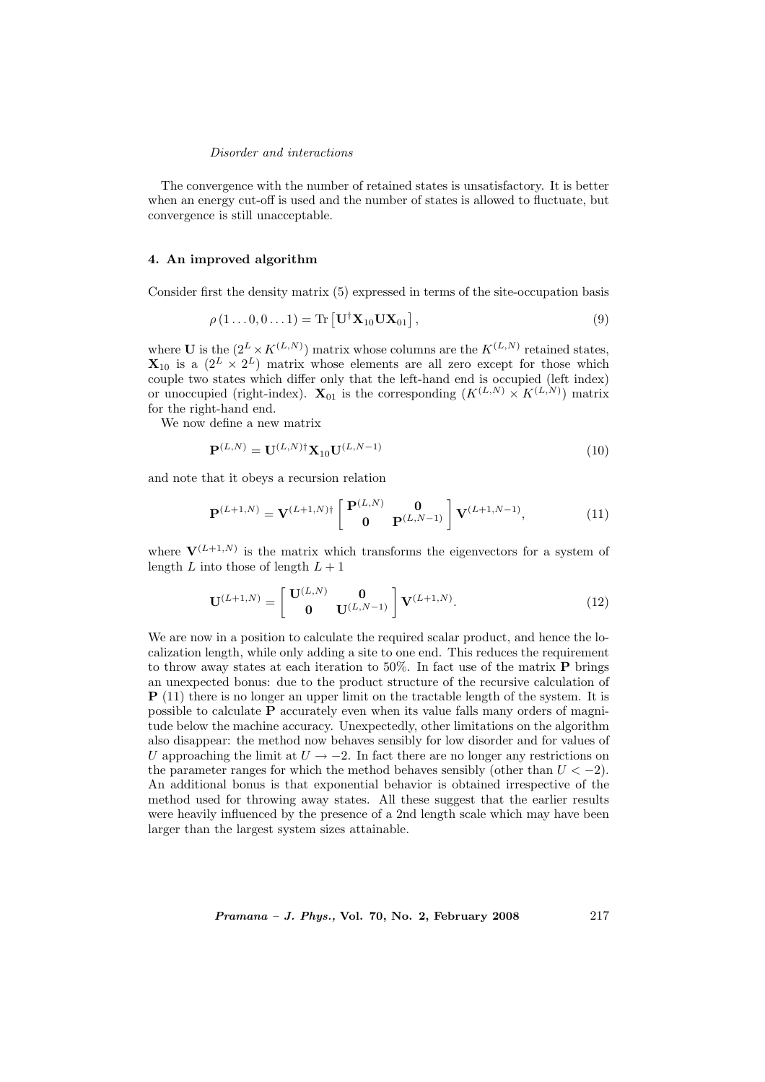# Disorder and interactions

The convergence with the number of retained states is unsatisfactory. It is better when an energy cut-off is used and the number of states is allowed to fluctuate, but convergence is still unacceptable.

# 4. An improved algorithm

Consider first the density matrix (5) expressed in terms of the site-occupation basis

$$
\rho(1...0,0...1) = \text{Tr}\left[\mathbf{U}^{\dagger}\mathbf{X}_{10}\mathbf{U}\mathbf{X}_{01}\right],\tag{9}
$$

where **U** is the  $(2^L \times K^{(L,N)})$  matrix whose columns are the  $K^{(L,N)}$  retained states,  $\mathbf{X}_{10}$  is a  $(2^L \times 2^L)$  matrix whose elements are all zero except for those which couple two states which differ only that the left-hand end is occupied (left index) or unoccupied (right-index).  $\mathbf{X}_{01}$  is the corresponding  $(K^{(L,N)} \times K^{(L,N)})$  matrix for the right-hand end.

We now define a new matrix

$$
\mathbf{P}^{(L,N)} = \mathbf{U}^{(L,N)\dagger} \mathbf{X}_{10} \mathbf{U}^{(L,N-1)} \tag{10}
$$

and note that it obeys a recursion relation

$$
\mathbf{P}^{(L+1,N)} = \mathbf{V}^{(L+1,N)\dagger} \begin{bmatrix} \mathbf{P}^{(L,N)} & \mathbf{0} \\ \mathbf{0} & \mathbf{P}^{(L,N-1)} \end{bmatrix} \mathbf{V}^{(L+1,N-1)}, \tag{11}
$$

where  $V^{(L+1,N)}$  is the matrix which transforms the eigenvectors for a system of length  $L$  into those of length  $L + 1$ 

$$
\mathbf{U}^{(L+1,N)} = \begin{bmatrix} \mathbf{U}^{(L,N)} & \mathbf{0} \\ \mathbf{0} & \mathbf{U}^{(L,N-1)} \end{bmatrix} \mathbf{V}^{(L+1,N)}.
$$
 (12)

We are now in a position to calculate the required scalar product, and hence the localization length, while only adding a site to one end. This reduces the requirement to throw away states at each iteration to 50%. In fact use of the matrix  $P$  brings an unexpected bonus: due to the product structure of the recursive calculation of P (11) there is no longer an upper limit on the tractable length of the system. It is possible to calculate P accurately even when its value falls many orders of magnitude below the machine accuracy. Unexpectedly, other limitations on the algorithm also disappear: the method now behaves sensibly for low disorder and for values of U approaching the limit at  $U \rightarrow -2$ . In fact there are no longer any restrictions on the parameter ranges for which the method behaves sensibly (other than  $U < -2$ ). An additional bonus is that exponential behavior is obtained irrespective of the method used for throwing away states. All these suggest that the earlier results were heavily influenced by the presence of a 2nd length scale which may have been larger than the largest system sizes attainable.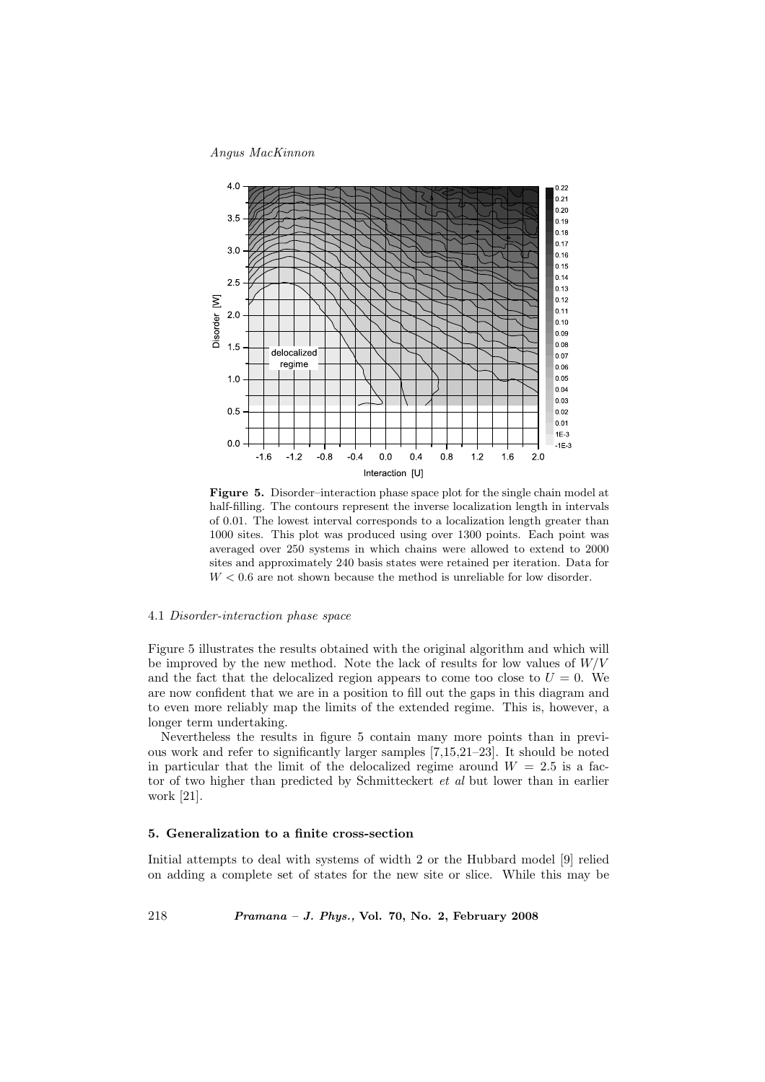Angus MacKinnon



Figure 5. Disorder–interaction phase space plot for the single chain model at half-filling. The contours represent the inverse localization length in intervals of 0.01. The lowest interval corresponds to a localization length greater than 1000 sites. This plot was produced using over 1300 points. Each point was averaged over 250 systems in which chains were allowed to extend to 2000 sites and approximately 240 basis states were retained per iteration. Data for  $W < 0.6$  are not shown because the method is unreliable for low disorder.

# 4.1 Disorder-interaction phase space

Figure 5 illustrates the results obtained with the original algorithm and which will be improved by the new method. Note the lack of results for low values of  $W/V$ and the fact that the delocalized region appears to come too close to  $U = 0$ . We are now confident that we are in a position to fill out the gaps in this diagram and to even more reliably map the limits of the extended regime. This is, however, a longer term undertaking.

Nevertheless the results in figure 5 contain many more points than in previous work and refer to significantly larger samples [7,15,21–23]. It should be noted in particular that the limit of the delocalized regime around  $W = 2.5$  is a factor of two higher than predicted by Schmitteckert et al but lower than in earlier work [21].

# 5. Generalization to a finite cross-section

Initial attempts to deal with systems of width 2 or the Hubbard model [9] relied on adding a complete set of states for the new site or slice. While this may be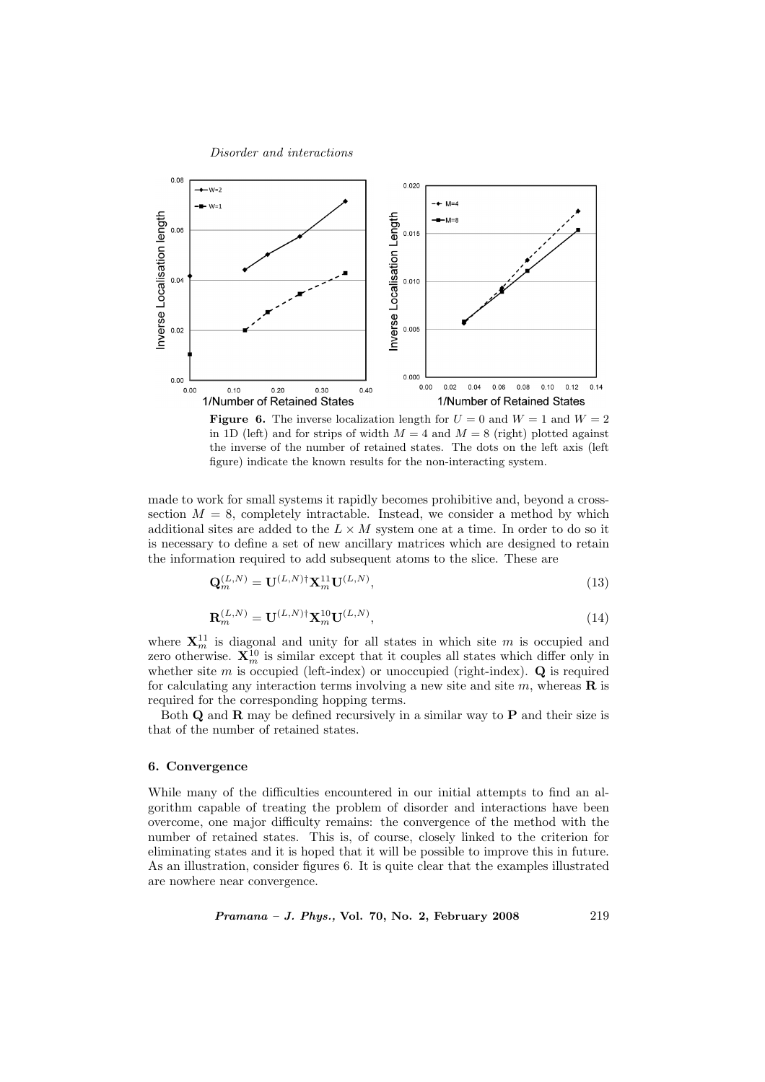#### Disorder and interactions



**Figure 6.** The inverse localization length for  $U = 0$  and  $W = 1$  and  $W = 2$ in 1D (left) and for strips of width  $M = 4$  and  $M = 8$  (right) plotted against the inverse of the number of retained states. The dots on the left axis (left figure) indicate the known results for the non-interacting system.

made to work for small systems it rapidly becomes prohibitive and, beyond a crosssection  $M = 8$ , completely intractable. Instead, we consider a method by which additional sites are added to the  $L \times M$  system one at a time. In order to do so it is necessary to define a set of new ancillary matrices which are designed to retain the information required to add subsequent atoms to the slice. These are

$$
\mathbf{Q}_m^{(L,N)} = \mathbf{U}^{(L,N)\dagger} \mathbf{X}_m^{11} \mathbf{U}^{(L,N)},\tag{13}
$$

$$
\mathbf{R}_m^{(L,N)} = \mathbf{U}^{(L,N)\dagger} \mathbf{X}_m^{10} \mathbf{U}^{(L,N)},\tag{14}
$$

where  $\mathbf{X}_m^{11}$  is diagonal and unity for all states in which site m is occupied and zero otherwise.  $\mathbf{X}_m^{10}$  is similar except that it couples all states which differ only in whether site m is occupied (left-index) or unoccupied (right-index).  $\bf{Q}$  is required for calculating any interaction terms involving a new site and site  $m$ , whereas **R** is required for the corresponding hopping terms.

Both  $Q$  and  $R$  may be defined recursively in a similar way to  $P$  and their size is that of the number of retained states.

# 6. Convergence

While many of the difficulties encountered in our initial attempts to find an algorithm capable of treating the problem of disorder and interactions have been overcome, one major difficulty remains: the convergence of the method with the number of retained states. This is, of course, closely linked to the criterion for eliminating states and it is hoped that it will be possible to improve this in future. As an illustration, consider figures 6. It is quite clear that the examples illustrated are nowhere near convergence.